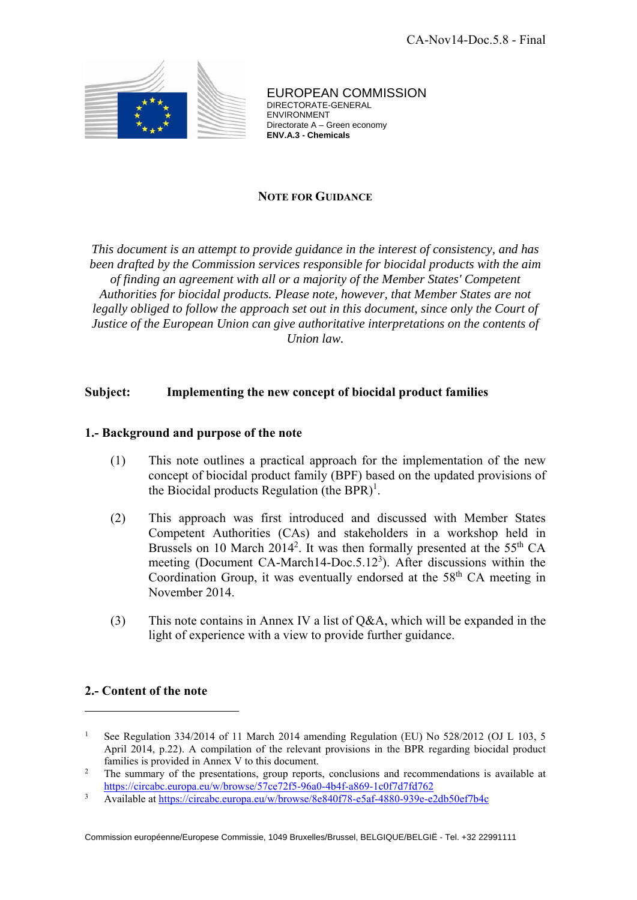

EUROPEAN COMMISSION DIRECTORATE-GENERAL ENVIRONMENT Directorate A – Green economy **ENV.A.3 - Chemicals**

## **NOTE FOR GUIDANCE**

*This document is an attempt to provide guidance in the interest of consistency, and has been drafted by the Commission services responsible for biocidal products with the aim of finding an agreement with all or a majority of the Member States' Competent Authorities for biocidal products. Please note, however, that Member States are not legally obliged to follow the approach set out in this document, since only the Court of Justice of the European Union can give authoritative interpretations on the contents of Union law.* 

## **Subject: Implementing the new concept of biocidal product families**

### **1.- Background and purpose of the note**

- (1) This note outlines a practical approach for the implementation of the new concept of biocidal product family (BPF) based on the updated provisions of the Biocidal products Regulation (the BPR)<sup>1</sup>.
- (2) This approach was first introduced and discussed with Member States Competent Authorities (CAs) and stakeholders in a workshop held in Brussels on 10 March 2014<sup>2</sup>. It was then formally presented at the 55<sup>th</sup> CA meeting (Document CA-March14-Doc.5.12<sup>3</sup>). After discussions within the Coordination Group, it was eventually endorsed at the  $58<sup>th</sup>$  CA meeting in November 2014.
- (3) This note contains in Annex IV a list of Q&A, which will be expanded in the light of experience with a view to provide further guidance.

# **2.- Content of the note**

 $\overline{a}$ 

Available at https://circabc.europa.eu/w/browse/8e840f78-e5af-4880-939e-e2db50ef7b4c

<sup>1</sup> See Regulation 334/2014 of 11 March 2014 amending Regulation (EU) No 528/2012 (OJ L 103, 5 April 2014, p.22). A compilation of the relevant provisions in the BPR regarding biocidal product families is provided in Annex V to this document.

The summary of the presentations, group reports, conclusions and recommendations is available at https://circabc.europa.eu/w/browse/57ce72f5-96a0-4b4f-a869-1c0f7d7fd762<br>Avoilable at https://gircabc.europa.eu/w/browse/8e840f78\_e5af\_4880\_939e\_e3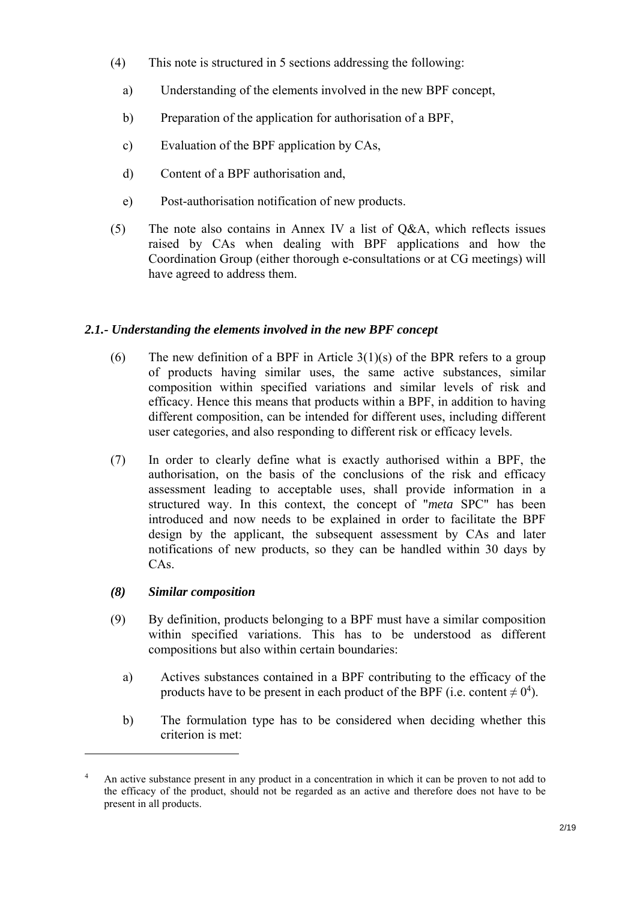- (4) This note is structured in 5 sections addressing the following:
	- a) Understanding of the elements involved in the new BPF concept,
	- b) Preparation of the application for authorisation of a BPF,
	- c) Evaluation of the BPF application by CAs,
	- d) Content of a BPF authorisation and,
	- e) Post-authorisation notification of new products.
- (5) The note also contains in Annex IV a list of Q&A, which reflects issues raised by CAs when dealing with BPF applications and how the Coordination Group (either thorough e-consultations or at CG meetings) will have agreed to address them.

# *2.1.- Understanding the elements involved in the new BPF concept*

- (6) The new definition of a BPF in Article  $3(1)(s)$  of the BPR refers to a group of products having similar uses, the same active substances, similar composition within specified variations and similar levels of risk and efficacy. Hence this means that products within a BPF, in addition to having different composition, can be intended for different uses, including different user categories, and also responding to different risk or efficacy levels.
- (7) In order to clearly define what is exactly authorised within a BPF, the authorisation, on the basis of the conclusions of the risk and efficacy assessment leading to acceptable uses, shall provide information in a structured way. In this context, the concept of "*meta* SPC" has been introduced and now needs to be explained in order to facilitate the BPF design by the applicant, the subsequent assessment by CAs and later notifications of new products, so they can be handled within 30 days by CAs.

# *(8) Similar composition*

- (9) By definition, products belonging to a BPF must have a similar composition within specified variations. This has to be understood as different compositions but also within certain boundaries:
	- a) Actives substances contained in a BPF contributing to the efficacy of the products have to be present in each product of the BPF (i.e. content  $\neq 0^4$ ).
	- b) The formulation type has to be considered when deciding whether this criterion is met:

<sup>4</sup> An active substance present in any product in a concentration in which it can be proven to not add to the efficacy of the product, should not be regarded as an active and therefore does not have to be present in all products.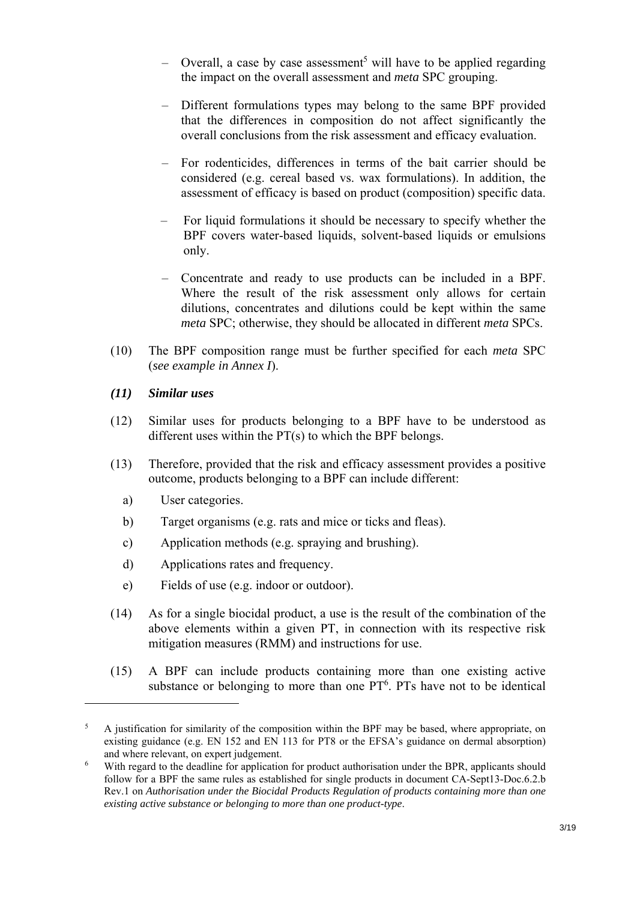- $-$  Overall, a case by case assessment<sup>5</sup> will have to be applied regarding the impact on the overall assessment and *meta* SPC grouping.
- Different formulations types may belong to the same BPF provided that the differences in composition do not affect significantly the overall conclusions from the risk assessment and efficacy evaluation.
- For rodenticides, differences in terms of the bait carrier should be considered (e.g. cereal based vs. wax formulations). In addition, the assessment of efficacy is based on product (composition) specific data.
- For liquid formulations it should be necessary to specify whether the BPF covers water-based liquids, solvent-based liquids or emulsions only.
- Concentrate and ready to use products can be included in a BPF. Where the result of the risk assessment only allows for certain dilutions, concentrates and dilutions could be kept within the same *meta* SPC; otherwise, they should be allocated in different *meta* SPCs.
- (10) The BPF composition range must be further specified for each *meta* SPC (*see example in Annex I*).

## *(11) Similar uses*

- (12) Similar uses for products belonging to a BPF have to be understood as different uses within the PT(s) to which the BPF belongs.
- (13) Therefore, provided that the risk and efficacy assessment provides a positive outcome, products belonging to a BPF can include different:
	- a) User categories.

- b) Target organisms (e.g. rats and mice or ticks and fleas).
- c) Application methods (e.g. spraying and brushing).
- d) Applications rates and frequency.
- e) Fields of use (e.g. indoor or outdoor).
- (14) As for a single biocidal product, a use is the result of the combination of the above elements within a given PT, in connection with its respective risk mitigation measures (RMM) and instructions for use.
- (15) A BPF can include products containing more than one existing active substance or belonging to more than one  $PT<sup>6</sup>$ . PTs have not to be identical

<sup>5</sup> A justification for similarity of the composition within the BPF may be based, where appropriate, on existing guidance (e.g. EN 152 and EN 113 for PT8 or the EFSA's guidance on dermal absorption) and where relevant, on expert judgement.<br>
With regard to the deadline for application

With regard to the deadline for application for product authorisation under the BPR, applicants should follow for a BPF the same rules as established for single products in document CA-Sept13-Doc.6.2.b Rev.1 on *Authorisation under the Biocidal Products Regulation of products containing more than one existing active substance or belonging to more than one product-type*.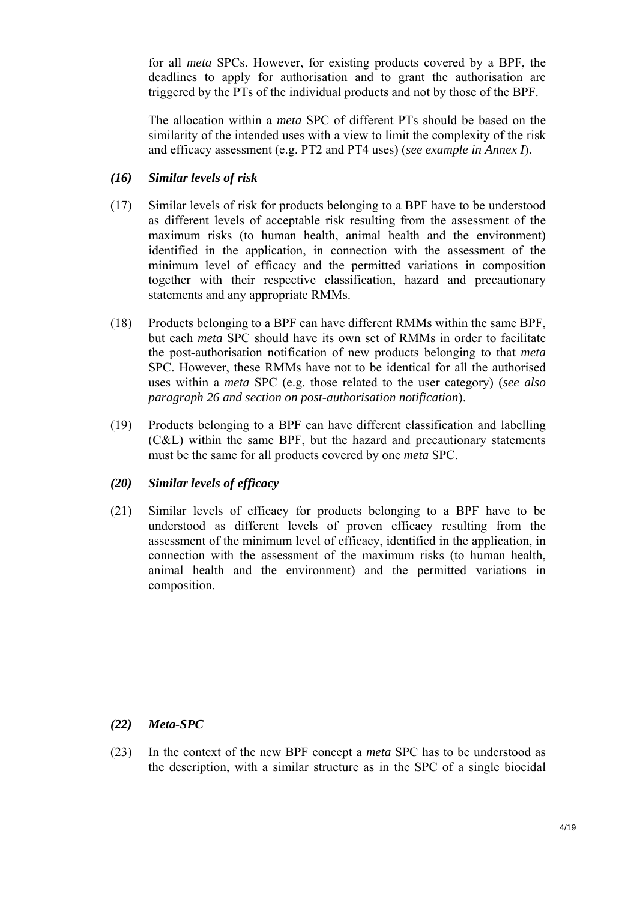for all *meta* SPCs. However, for existing products covered by a BPF, the deadlines to apply for authorisation and to grant the authorisation are triggered by the PTs of the individual products and not by those of the BPF.

The allocation within a *meta* SPC of different PTs should be based on the similarity of the intended uses with a view to limit the complexity of the risk and efficacy assessment (e.g. PT2 and PT4 uses) (*see example in Annex I*).

## *(16) Similar levels of risk*

- (17) Similar levels of risk for products belonging to a BPF have to be understood as different levels of acceptable risk resulting from the assessment of the maximum risks (to human health, animal health and the environment) identified in the application, in connection with the assessment of the minimum level of efficacy and the permitted variations in composition together with their respective classification, hazard and precautionary statements and any appropriate RMMs.
- (18) Products belonging to a BPF can have different RMMs within the same BPF, but each *meta* SPC should have its own set of RMMs in order to facilitate the post-authorisation notification of new products belonging to that *meta* SPC. However, these RMMs have not to be identical for all the authorised uses within a *meta* SPC (e.g. those related to the user category) (*see also paragraph 26 and section on post-authorisation notification*).
- (19) Products belonging to a BPF can have different classification and labelling (C&L) within the same BPF, but the hazard and precautionary statements must be the same for all products covered by one *meta* SPC.

# *(20) Similar levels of efficacy*

(21) Similar levels of efficacy for products belonging to a BPF have to be understood as different levels of proven efficacy resulting from the assessment of the minimum level of efficacy, identified in the application, in connection with the assessment of the maximum risks (to human health, animal health and the environment) and the permitted variations in composition.

# *(22) Meta-SPC*

(23) In the context of the new BPF concept a *meta* SPC has to be understood as the description, with a similar structure as in the SPC of a single biocidal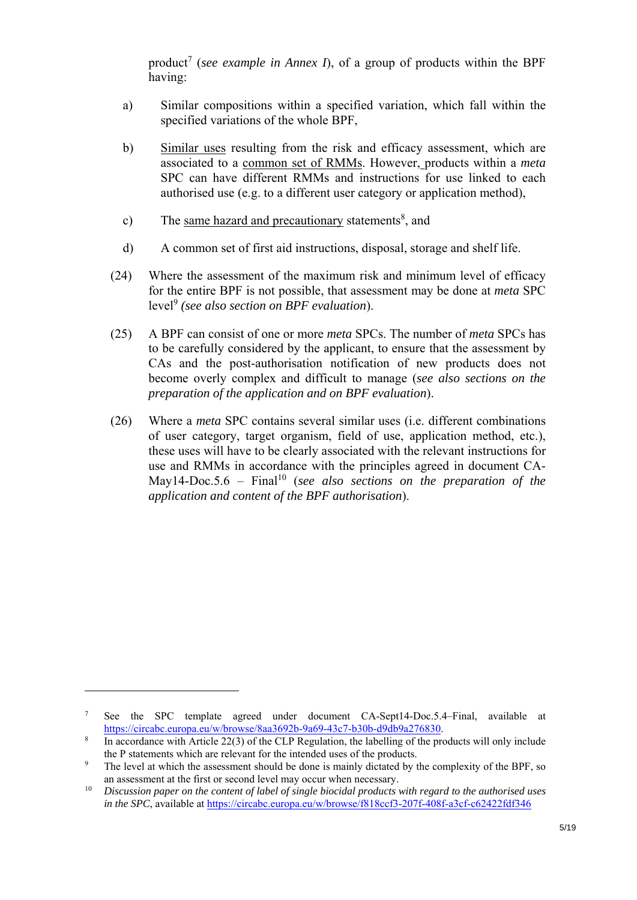product<sup>7</sup> (*see example in Annex I*), of a group of products within the BPF having:

- a) Similar compositions within a specified variation, which fall within the specified variations of the whole BPF,
- b) Similar uses resulting from the risk and efficacy assessment, which are associated to a common set of RMMs. However, products within a *meta* SPC can have different RMMs and instructions for use linked to each authorised use (e.g. to a different user category or application method),
- c) The same hazard and precautionary statements<sup>8</sup>, and
- d) A common set of first aid instructions, disposal, storage and shelf life.
- (24) Where the assessment of the maximum risk and minimum level of efficacy for the entire BPF is not possible, that assessment may be done at *meta* SPC level<sup>9</sup> *(see also section on BPF evaluation*).
- (25) A BPF can consist of one or more *meta* SPCs. The number of *meta* SPCs has to be carefully considered by the applicant, to ensure that the assessment by CAs and the post-authorisation notification of new products does not become overly complex and difficult to manage (*see also sections on the preparation of the application and on BPF evaluation*).
- (26) Where a *meta* SPC contains several similar uses (i.e. different combinations of user category, target organism, field of use, application method, etc.), these uses will have to be clearly associated with the relevant instructions for use and RMMs in accordance with the principles agreed in document CA-May14-Doc.5.6 – Final<sup>10</sup> (*see also sections on the preparation of the application and content of the BPF authorisation*).

<sup>7</sup> See the SPC template agreed under document CA-Sept14-Doc.5.4–Final, available at https://circabc.europa.eu/w/browse/8aa3692b-9a69-43c7-b30b-d9db9a276830.<br><sup>8</sup> In eccordance with Article 22(2) of the CLB Besultion, the lebelling of the pro

In accordance with Article 22(3) of the CLP Regulation, the labelling of the products will only include the P statements which are relevant for the intended uses of the products.

The level at which the assessment should be done is mainly dictated by the complexity of the BPF, so an assessment at the first or second level may occur when necessary.<br>*Discussion paper on the content of label of single biocidal products with regard to the authorised uses* 

*in the SPC*, available at https://circabc.europa.eu/w/browse/f818ccf3-207f-408f-a3cf-c62422fdf346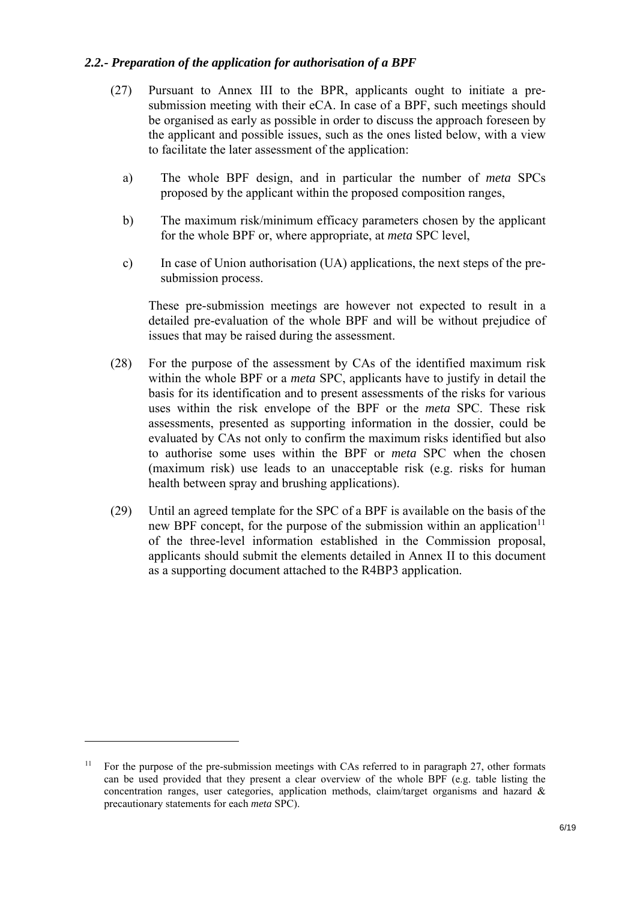## *2.2.- Preparation of the application for authorisation of a BPF*

- (27) Pursuant to Annex III to the BPR, applicants ought to initiate a presubmission meeting with their eCA. In case of a BPF, such meetings should be organised as early as possible in order to discuss the approach foreseen by the applicant and possible issues, such as the ones listed below, with a view to facilitate the later assessment of the application:
	- a) The whole BPF design, and in particular the number of *meta* SPCs proposed by the applicant within the proposed composition ranges,
	- b) The maximum risk/minimum efficacy parameters chosen by the applicant for the whole BPF or, where appropriate, at *meta* SPC level,
	- c) In case of Union authorisation (UA) applications, the next steps of the presubmission process.

These pre-submission meetings are however not expected to result in a detailed pre-evaluation of the whole BPF and will be without prejudice of issues that may be raised during the assessment.

- (28) For the purpose of the assessment by CAs of the identified maximum risk within the whole BPF or a *meta* SPC, applicants have to justify in detail the basis for its identification and to present assessments of the risks for various uses within the risk envelope of the BPF or the *meta* SPC. These risk assessments, presented as supporting information in the dossier, could be evaluated by CAs not only to confirm the maximum risks identified but also to authorise some uses within the BPF or *meta* SPC when the chosen (maximum risk) use leads to an unacceptable risk (e.g. risks for human health between spray and brushing applications).
- (29) Until an agreed template for the SPC of a BPF is available on the basis of the new BPF concept, for the purpose of the submission within an application<sup>11</sup> of the three-level information established in the Commission proposal, applicants should submit the elements detailed in Annex II to this document as a supporting document attached to the R4BP3 application.

<sup>&</sup>lt;sup>11</sup> For the purpose of the pre-submission meetings with CAs referred to in paragraph 27, other formats can be used provided that they present a clear overview of the whole BPF (e.g. table listing the concentration ranges, user categories, application methods, claim/target organisms and hazard  $\&$ precautionary statements for each *meta* SPC).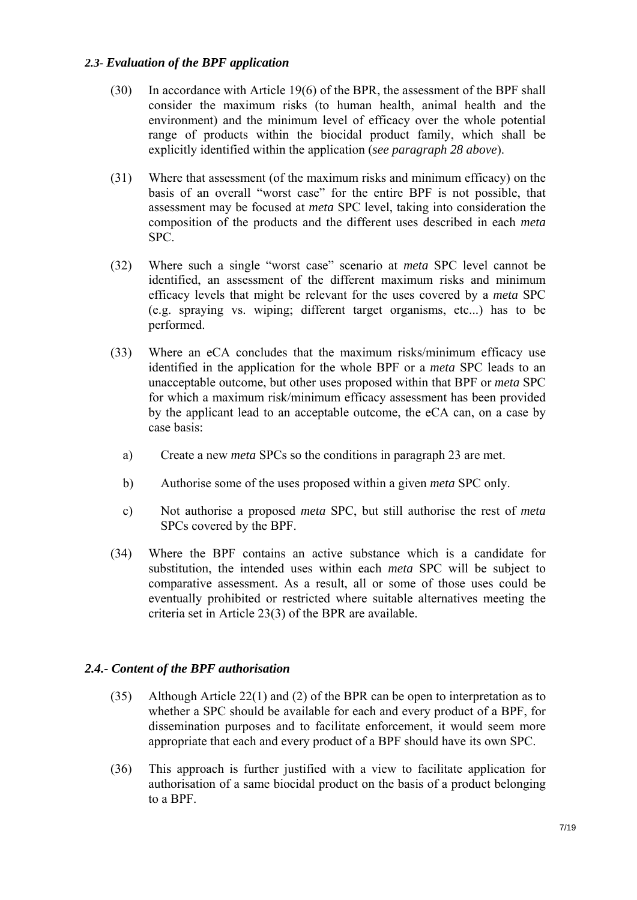## *2.3- Evaluation of the BPF application*

- (30) In accordance with Article 19(6) of the BPR, the assessment of the BPF shall consider the maximum risks (to human health, animal health and the environment) and the minimum level of efficacy over the whole potential range of products within the biocidal product family, which shall be explicitly identified within the application (*see paragraph 28 above*).
- (31) Where that assessment (of the maximum risks and minimum efficacy) on the basis of an overall "worst case" for the entire BPF is not possible, that assessment may be focused at *meta* SPC level, taking into consideration the composition of the products and the different uses described in each *meta* SPC.
- (32) Where such a single "worst case" scenario at *meta* SPC level cannot be identified, an assessment of the different maximum risks and minimum efficacy levels that might be relevant for the uses covered by a *meta* SPC (e.g. spraying vs. wiping; different target organisms, etc...) has to be performed.
- (33) Where an eCA concludes that the maximum risks/minimum efficacy use identified in the application for the whole BPF or a *meta* SPC leads to an unacceptable outcome, but other uses proposed within that BPF or *meta* SPC for which a maximum risk/minimum efficacy assessment has been provided by the applicant lead to an acceptable outcome, the eCA can, on a case by case basis:
	- a) Create a new *meta* SPCs so the conditions in paragraph 23 are met.
	- b) Authorise some of the uses proposed within a given *meta* SPC only.
	- c) Not authorise a proposed *meta* SPC, but still authorise the rest of *meta* SPCs covered by the BPF.
- (34) Where the BPF contains an active substance which is a candidate for substitution, the intended uses within each *meta* SPC will be subject to comparative assessment. As a result, all or some of those uses could be eventually prohibited or restricted where suitable alternatives meeting the criteria set in Article 23(3) of the BPR are available.

# *2.4.- Content of the BPF authorisation*

- (35) Although Article 22(1) and (2) of the BPR can be open to interpretation as to whether a SPC should be available for each and every product of a BPF, for dissemination purposes and to facilitate enforcement, it would seem more appropriate that each and every product of a BPF should have its own SPC.
- (36) This approach is further justified with a view to facilitate application for authorisation of a same biocidal product on the basis of a product belonging to a BPF.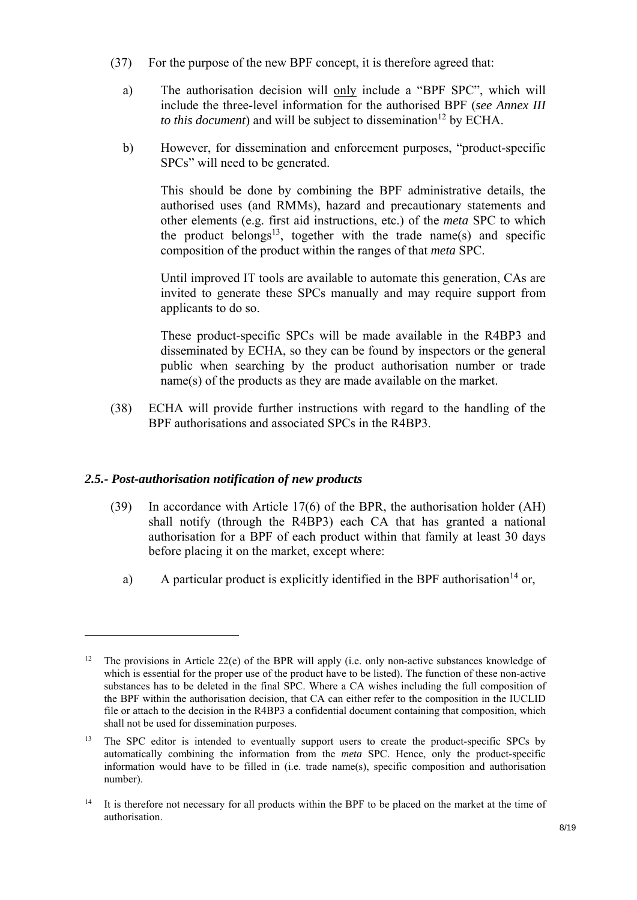- (37) For the purpose of the new BPF concept, it is therefore agreed that:
	- a) The authorisation decision will only include a "BPF SPC", which will include the three-level information for the authorised BPF (*see Annex III to this document*) and will be subject to dissemination<sup>12</sup> by ECHA.
	- b) However, for dissemination and enforcement purposes, "product-specific SPCs" will need to be generated.

This should be done by combining the BPF administrative details, the authorised uses (and RMMs), hazard and precautionary statements and other elements (e.g. first aid instructions, etc.) of the *meta* SPC to which the product belongs<sup>13</sup>, together with the trade name(s) and specific composition of the product within the ranges of that *meta* SPC.

Until improved IT tools are available to automate this generation, CAs are invited to generate these SPCs manually and may require support from applicants to do so.

These product-specific SPCs will be made available in the R4BP3 and disseminated by ECHA, so they can be found by inspectors or the general public when searching by the product authorisation number or trade name(s) of the products as they are made available on the market.

(38) ECHA will provide further instructions with regard to the handling of the BPF authorisations and associated SPCs in the R4BP3.

# *2.5.- Post-authorisation notification of new products*

- (39) In accordance with Article 17(6) of the BPR, the authorisation holder (AH) shall notify (through the R4BP3) each CA that has granted a national authorisation for a BPF of each product within that family at least 30 days before placing it on the market, except where:
	- a) A particular product is explicitly identified in the BPF authorisation<sup>14</sup> or,

<sup>&</sup>lt;sup>12</sup> The provisions in Article 22(e) of the BPR will apply (i.e. only non-active substances knowledge of which is essential for the proper use of the product have to be listed). The function of these non-active substances has to be deleted in the final SPC. Where a CA wishes including the full composition of the BPF within the authorisation decision, that CA can either refer to the composition in the IUCLID file or attach to the decision in the R4BP3 a confidential document containing that composition, which shall not be used for dissemination purposes.

<sup>&</sup>lt;sup>13</sup> The SPC editor is intended to eventually support users to create the product-specific SPCs by automatically combining the information from the *meta* SPC. Hence, only the product-specific information would have to be filled in (i.e. trade name(s), specific composition and authorisation number).

<sup>&</sup>lt;sup>14</sup> It is therefore not necessary for all products within the BPF to be placed on the market at the time of authorisation.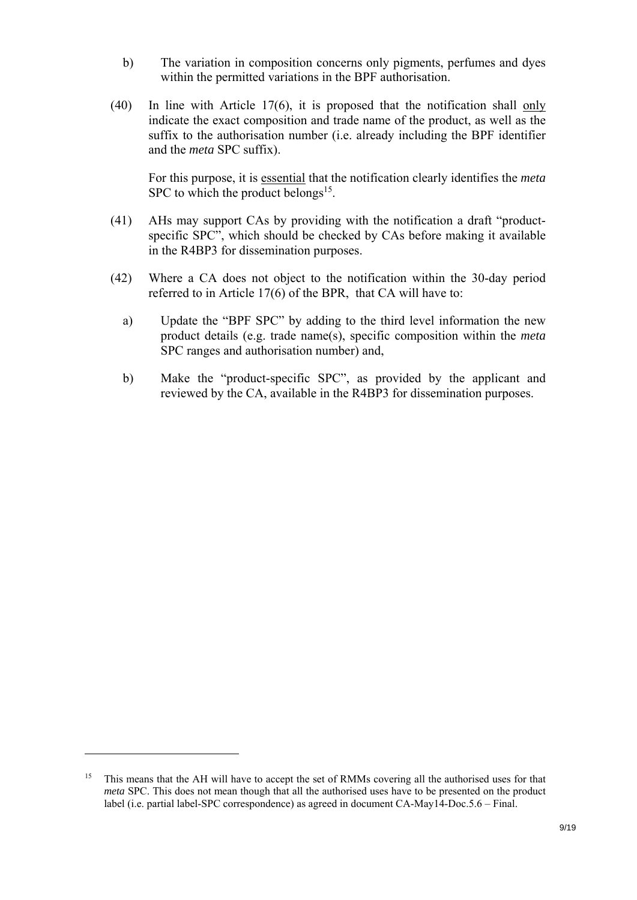- b) The variation in composition concerns only pigments, perfumes and dyes within the permitted variations in the BPF authorisation.
- (40) In line with Article 17(6), it is proposed that the notification shall only indicate the exact composition and trade name of the product, as well as the suffix to the authorisation number (i.e. already including the BPF identifier and the *meta* SPC suffix).

For this purpose, it is essential that the notification clearly identifies the *meta* SPC to which the product belongs<sup>15</sup>.

- (41) AHs may support CAs by providing with the notification a draft "productspecific SPC", which should be checked by CAs before making it available in the R4BP3 for dissemination purposes.
- (42) Where a CA does not object to the notification within the 30-day period referred to in Article 17(6) of the BPR, that CA will have to:
	- a) Update the "BPF SPC" by adding to the third level information the new product details (e.g. trade name(s), specific composition within the *meta* SPC ranges and authorisation number) and,
	- b) Make the "product-specific SPC", as provided by the applicant and reviewed by the CA, available in the R4BP3 for dissemination purposes.

<sup>&</sup>lt;sup>15</sup> This means that the AH will have to accept the set of RMMs covering all the authorised uses for that *meta* SPC. This does not mean though that all the authorised uses have to be presented on the product label (i.e. partial label-SPC correspondence) as agreed in document CA-May14-Doc.5.6 – Final.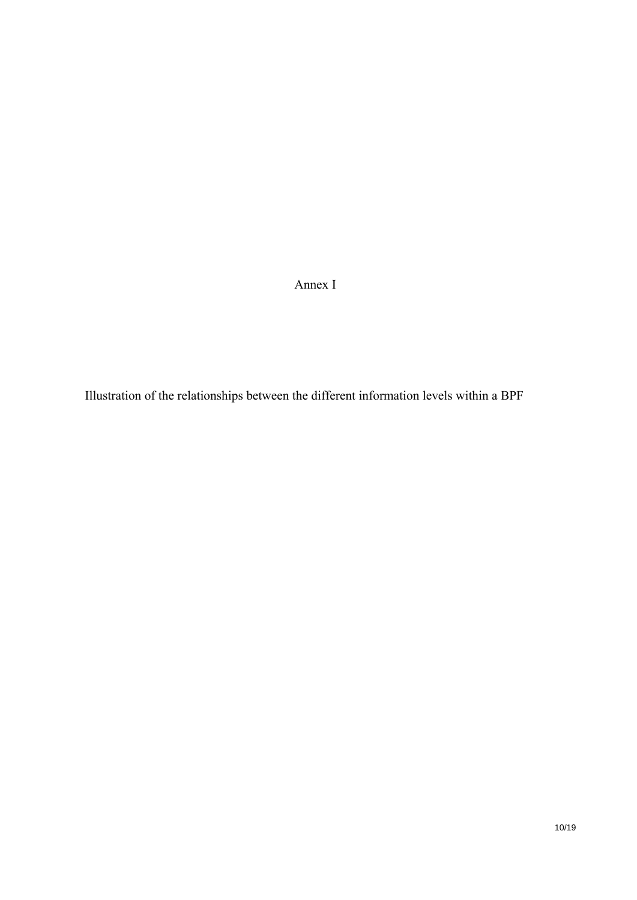Annex I

Illustration of the relationships between the different information levels within a BPF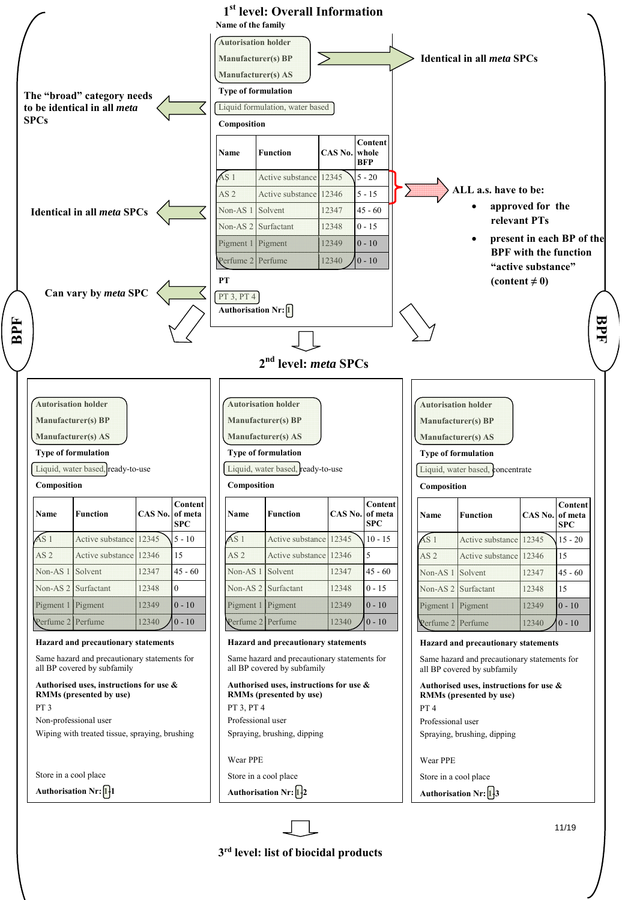

**3rd level: list of biocidal products**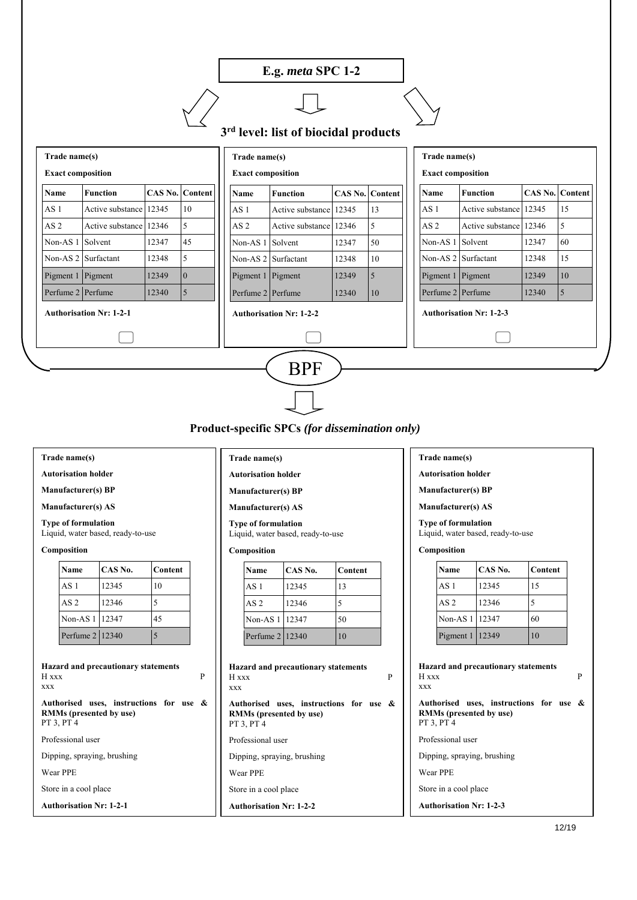# **E.g.** *meta* **SPC 1-2**

**3rd level: list of biocidal products**

| Trade name(s)<br><b>Exact composition</b> |                        |                        |                |                                | Trade name(s)<br><b>Exact composition</b> |                     |                                |                        | Trade name(s)<br><b>Exact composition</b> |                        |                        |                |
|-------------------------------------------|------------------------|------------------------|----------------|--------------------------------|-------------------------------------------|---------------------|--------------------------------|------------------------|-------------------------------------------|------------------------|------------------------|----------------|
| Name                                      | <b>Function</b>        | <b>CAS No. Content</b> |                |                                | <b>Name</b>                               | <b>Function</b>     |                                | <b>CAS No. Content</b> | Name                                      | <b>Function</b>        | <b>CAS No. Content</b> |                |
| AS <sub>1</sub>                           | Active substance 12345 |                        | 10             |                                | AS <sub>1</sub>                           | Active substance    | 12345                          | 13                     | AS <sub>1</sub>                           | Active substance 12345 |                        | 15             |
| AS <sub>2</sub>                           | Active substance 12346 |                        | 5              |                                | AS <sub>2</sub>                           | Active substance    | 12346                          | 5                      | AS <sub>2</sub>                           | Active substance 12346 |                        | 5              |
| Non-AS <sub>1</sub>                       | Solvent                | 12347                  | 45             |                                | Non-AS $1$                                | Solvent             | 12347                          | 50                     | Non-AS 1 Solvent                          |                        | 12347                  | 60             |
|                                           | Non-AS 2 Surfactant    | 12348                  | 5              |                                |                                           | Non-AS 2 Surfactant | 12348                          | 10                     |                                           | Non-AS 2 Surfactant    | 12348                  | 15             |
| Pigment 1 Pigment                         |                        | 12349                  | $\overline{0}$ |                                | Pigment 1 Pigment                         |                     | 12349                          | <sup>5</sup>           | Pigment 1 Pigment                         |                        | 12349                  | 10             |
| Perfume 2 Perfume                         |                        | 12340                  | $\overline{5}$ |                                | Perfume 2 Perfume                         |                     | 12340                          | 10                     | Perfume 2 Perfume                         |                        | 12340                  | $\overline{5}$ |
| <b>Authorisation Nr: 1-2-1</b>            |                        |                        |                | <b>Authorisation Nr: 1-2-2</b> |                                           |                     | <b>Authorisation Nr: 1-2-3</b> |                        |                                           |                        |                        |                |
|                                           |                        |                        |                |                                |                                           |                     |                                |                        |                                           |                        |                        |                |
| <b>BPF</b>                                |                        |                        |                |                                |                                           |                     |                                |                        |                                           |                        |                        |                |

**Product-specific SPCs** *(for dissemination only)*

#### **Trade name(s)**

**Autorisation holder** 

**Manufacturer(s) BP** 

**Manufacturer(s) AS** 

**Type of formulation**

Liquid, water based, ready-to-use

#### **Composition**

| Name              | CAS No. | Content |
|-------------------|---------|---------|
| AS <sub>1</sub>   | 12345   | 10      |
| AS <sub>2</sub>   | 12346   |         |
| Non-AS 1 12347    |         | 45      |
| Perfume 2   12340 |         |         |

| <b>Hazard and precautionary statements</b><br>H xxx<br><b>XXX</b>                       |  |  |  |  |
|-----------------------------------------------------------------------------------------|--|--|--|--|
| Authorised uses, instructions for use &<br><b>RMMs (presented by use)</b><br>PT 3, PT 4 |  |  |  |  |
| Professional user                                                                       |  |  |  |  |
| Dipping, spraying, brushing                                                             |  |  |  |  |
| <b>Wear PPE</b>                                                                         |  |  |  |  |
| Store in a cool place                                                                   |  |  |  |  |
| <b>Authorisation Nr: 1-2-1</b>                                                          |  |  |  |  |

#### **Trade name(s)**

- **Autorisation holder**
- **Manufacturer(s) BP**
- **Manufacturer(s) AS**

**Type of formulation**

Liquid, water based, ready-to-use

#### **Composition**

| Name            | CAS No. | Content |
|-----------------|---------|---------|
| AS <sub>1</sub> | 12345   | 13      |
| AS <sub>2</sub> | 12346   |         |
| Non-AS 1 12347  |         | 50      |
| Perfume 2 12340 |         | 10      |

| <b>Hazard and precautionary statements</b><br>H xxx<br><b>XXX</b>                | P |
|----------------------------------------------------------------------------------|---|
| Authorised uses, instructions for use &<br>RMMs (presented by use)<br>PT 3, PT 4 |   |
| Professional user                                                                |   |
| Dipping, spraying, brushing                                                      |   |
| Wear PPE                                                                         |   |
| Store in a cool place                                                            |   |
| <b>Authorisation Nr: 1-2-2</b>                                                   |   |

#### **Trade name(s)**

**Autorisation holder** 

**Manufacturer(s) BP** 

**Manufacturer(s) AS** 

**Type of formulation** Liquid, water based, ready-to-use

#### **Composition**

| Name              | CAS No. | Content |  |  |
|-------------------|---------|---------|--|--|
| AS <sub>1</sub>   | 12345   | 15      |  |  |
| AS <sub>2</sub>   | 12346   |         |  |  |
| Non-AS 1 12347    |         | 60      |  |  |
| Pigment $1 12349$ |         | 10      |  |  |

**Hazard and precautionary statements**   $H$  xxx  $P$ xxx **Authorised uses, instructions for use & RMMs (presented by use)**  PT 3, PT 4 Professional user Dipping, spraying, brushing Wear PPE Store in a cool place

**Authorisation Nr: 1-2-3**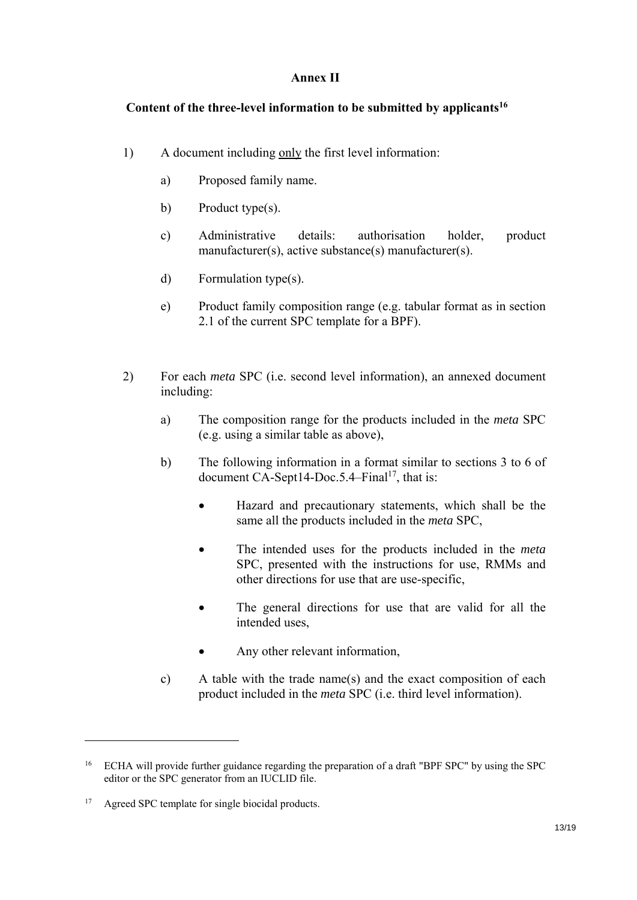# **Annex II**

# **Content of the three-level information to be submitted by applicants16**

- 1) A document including only the first level information:
	- a) Proposed family name.
	- b) Product type(s).
	- c) Administrative details: authorisation holder, product manufacturer(s), active substance(s) manufacturer(s).
	- d) Formulation type(s).
	- e) Product family composition range (e.g. tabular format as in section 2.1 of the current SPC template for a BPF).
- 2) For each *meta* SPC (i.e. second level information), an annexed document including:
	- a) The composition range for the products included in the *meta* SPC (e.g. using a similar table as above),
	- b) The following information in a format similar to sections 3 to 6 of document CA-Sept14-Doc.5.4–Final<sup>17</sup>, that is:
		- Hazard and precautionary statements, which shall be the same all the products included in the *meta* SPC,
		- The intended uses for the products included in the *meta* SPC, presented with the instructions for use, RMMs and other directions for use that are use-specific,
		- The general directions for use that are valid for all the intended uses,
		- Any other relevant information,
	- c) A table with the trade name(s) and the exact composition of each product included in the *meta* SPC (i.e. third level information).

<sup>&</sup>lt;sup>16</sup> ECHA will provide further guidance regarding the preparation of a draft "BPF SPC" by using the SPC editor or the SPC generator from an IUCLID file.

<sup>&</sup>lt;sup>17</sup> Agreed SPC template for single biocidal products.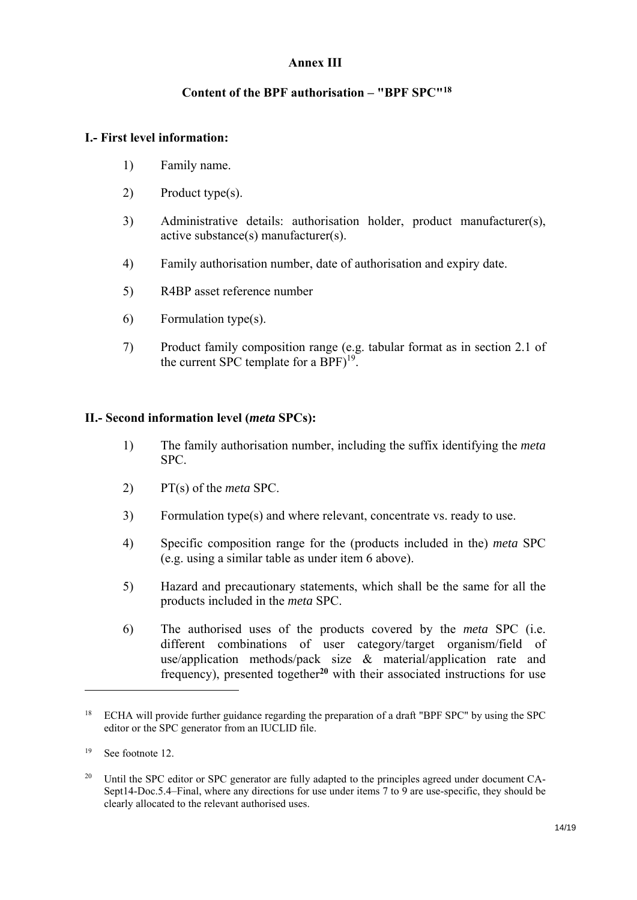## **Annex III**

## **Content of the BPF authorisation – "BPF SPC"18**

### **I.- First level information:**

- 1) Family name.
- 2) Product type(s).
- 3) Administrative details: authorisation holder, product manufacturer(s), active substance(s) manufacturer(s).
- 4) Family authorisation number, date of authorisation and expiry date.
- 5) R4BP asset reference number
- 6) Formulation type(s).
- 7) Product family composition range (e.g. tabular format as in section 2.1 of the current SPC template for a BPF $)^{19}$ .

### **II.- Second information level (***meta* **SPCs):**

- 1) The family authorisation number, including the suffix identifying the *meta* SPC.
- 2) PT(s) of the *meta* SPC.
- 3) Formulation type(s) and where relevant, concentrate vs. ready to use.
- 4) Specific composition range for the (products included in the) *meta* SPC (e.g. using a similar table as under item 6 above).
- 5) Hazard and precautionary statements, which shall be the same for all the products included in the *meta* SPC.
- 6) The authorised uses of the products covered by the *meta* SPC (i.e. different combinations of user category/target organism/field of use/application methods/pack size & material/application rate and frequency), presented together**<sup>20</sup>** with their associated instructions for use

<sup>&</sup>lt;sup>18</sup> ECHA will provide further guidance regarding the preparation of a draft "BPF SPC" by using the SPC editor or the SPC generator from an IUCLID file.

<sup>19</sup> See footnote 12.

<sup>&</sup>lt;sup>20</sup> Until the SPC editor or SPC generator are fully adapted to the principles agreed under document CA-Sept14-Doc. 5.4–Final, where any directions for use under items 7 to 9 are use-specific, they should be clearly allocated to the relevant authorised uses.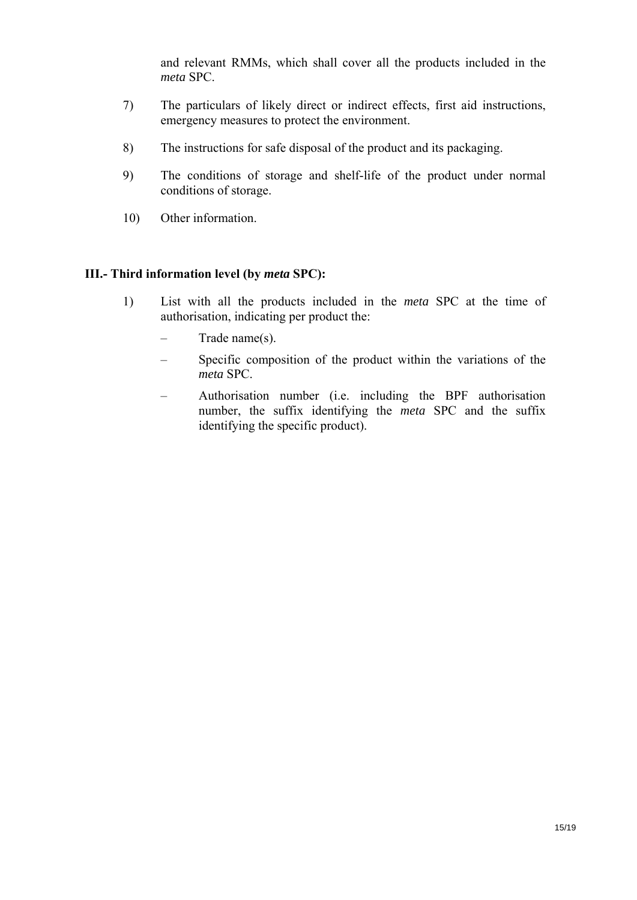and relevant RMMs, which shall cover all the products included in the *meta* SPC.

- 7) The particulars of likely direct or indirect effects, first aid instructions, emergency measures to protect the environment.
- 8) The instructions for safe disposal of the product and its packaging.
- 9) The conditions of storage and shelf-life of the product under normal conditions of storage.
- 10) Other information.

## **III.- Third information level (by** *meta* **SPC):**

- 1) List with all the products included in the *meta* SPC at the time of authorisation, indicating per product the:
	- Trade name(s).
	- Specific composition of the product within the variations of the *meta* SPC.
	- Authorisation number (i.e. including the BPF authorisation number, the suffix identifying the *meta* SPC and the suffix identifying the specific product).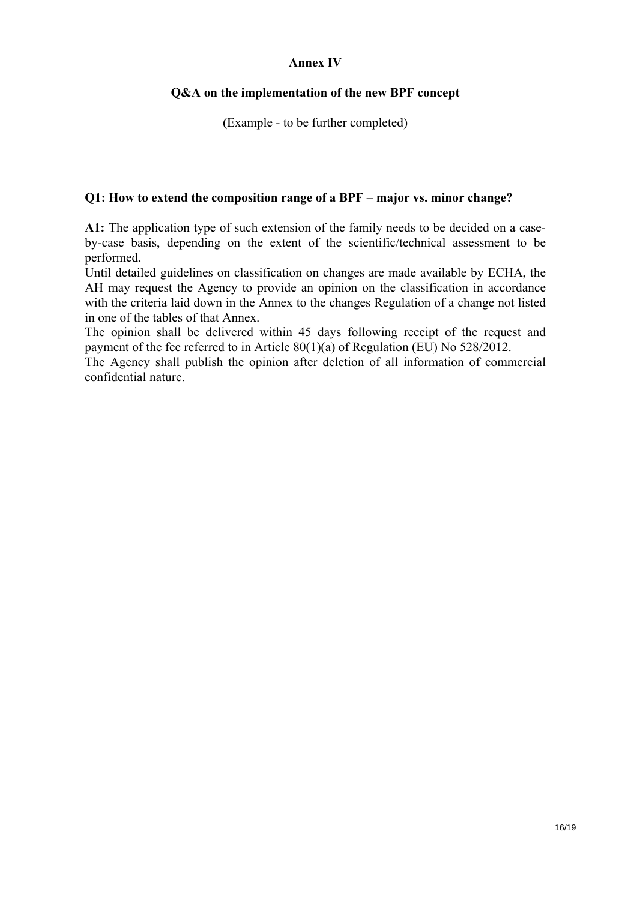## **Annex IV**

## **Q&A on the implementation of the new BPF concept**

**(**Example - to be further completed)

### **Q1: How to extend the composition range of a BPF – major vs. minor change?**

**A1:** The application type of such extension of the family needs to be decided on a caseby-case basis, depending on the extent of the scientific/technical assessment to be performed.

Until detailed guidelines on classification on changes are made available by ECHA, the AH may request the Agency to provide an opinion on the classification in accordance with the criteria laid down in the Annex to the changes Regulation of a change not listed in one of the tables of that Annex.

The opinion shall be delivered within 45 days following receipt of the request and payment of the fee referred to in Article 80(1)(a) of Regulation (EU) No 528/2012.

The Agency shall publish the opinion after deletion of all information of commercial confidential nature.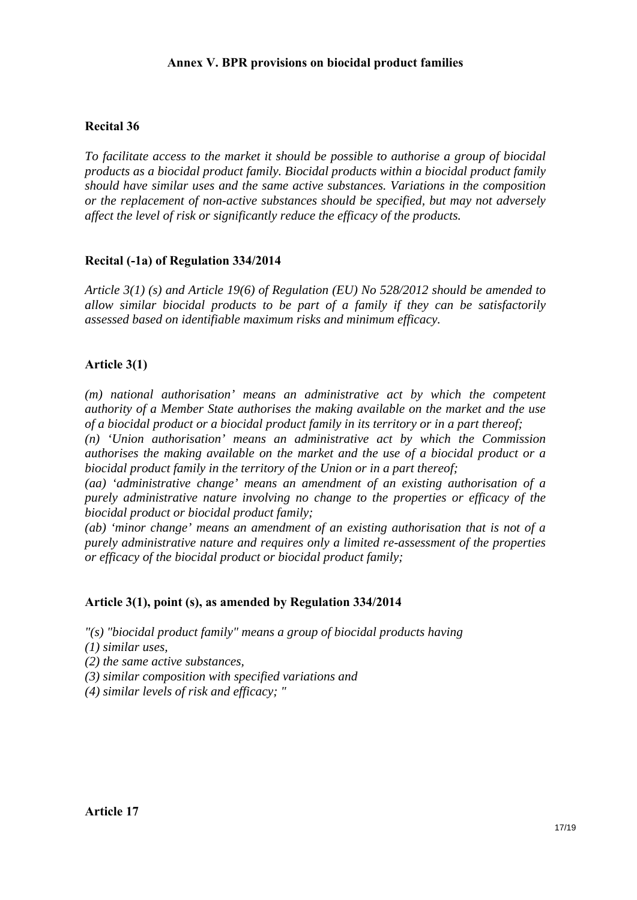## **Annex V. BPR provisions on biocidal product families**

### **Recital 36**

*To facilitate access to the market it should be possible to authorise a group of biocidal products as a biocidal product family. Biocidal products within a biocidal product family should have similar uses and the same active substances. Variations in the composition or the replacement of non-active substances should be specified, but may not adversely affect the level of risk or significantly reduce the efficacy of the products.* 

### **Recital (-1a) of Regulation 334/2014**

*Article 3(1) (s) and Article 19(6) of Regulation (EU) No 528/2012 should be amended to allow similar biocidal products to be part of a family if they can be satisfactorily assessed based on identifiable maximum risks and minimum efficacy.* 

#### **Article 3(1)**

*(m) national authorisation' means an administrative act by which the competent authority of a Member State authorises the making available on the market and the use of a biocidal product or a biocidal product family in its territory or in a part thereof;* 

*(n) 'Union authorisation' means an administrative act by which the Commission authorises the making available on the market and the use of a biocidal product or a biocidal product family in the territory of the Union or in a part thereof;* 

*(aa) 'administrative change' means an amendment of an existing authorisation of a purely administrative nature involving no change to the properties or efficacy of the biocidal product or biocidal product family;* 

*(ab) 'minor change' means an amendment of an existing authorisation that is not of a purely administrative nature and requires only a limited re-assessment of the properties or efficacy of the biocidal product or biocidal product family;* 

#### **Article 3(1), point (s), as amended by Regulation 334/2014**

- *"(s) "biocidal product family" means a group of biocidal products having*
- *(1) similar uses,*
- *(2) the same active substances,*
- *(3) similar composition with specified variations and*
- *(4) similar levels of risk and efficacy; "*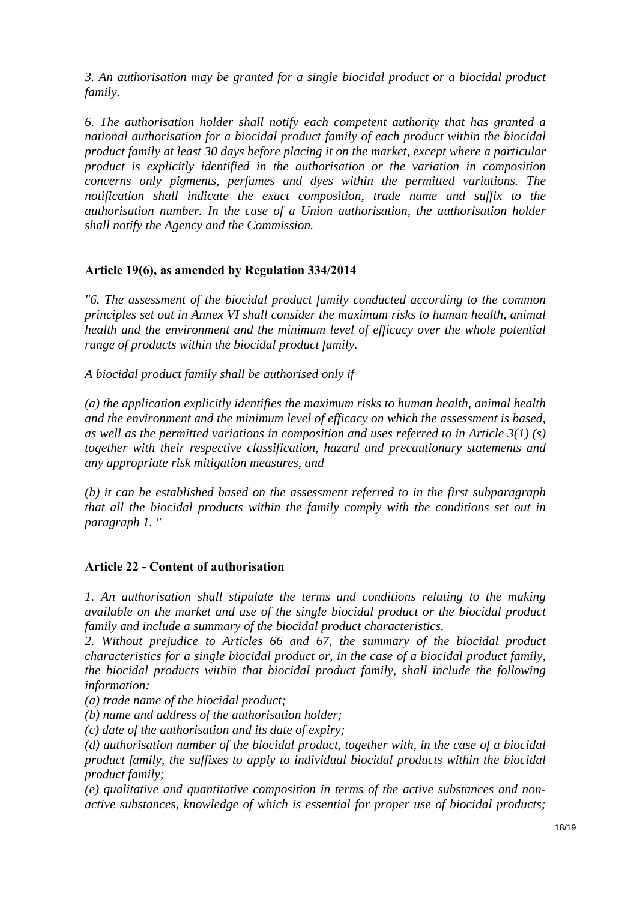*3. An authorisation may be granted for a single biocidal product or a biocidal product family.* 

*6. The authorisation holder shall notify each competent authority that has granted a national authorisation for a biocidal product family of each product within the biocidal product family at least 30 days before placing it on the market, except where a particular product is explicitly identified in the authorisation or the variation in composition concerns only pigments, perfumes and dyes within the permitted variations. The notification shall indicate the exact composition, trade name and suffix to the authorisation number. In the case of a Union authorisation, the authorisation holder shall notify the Agency and the Commission.* 

## **Article 19(6), as amended by Regulation 334/2014**

*"6. The assessment of the biocidal product family conducted according to the common principles set out in Annex VI shall consider the maximum risks to human health, animal health and the environment and the minimum level of efficacy over the whole potential range of products within the biocidal product family.* 

*A biocidal product family shall be authorised only if* 

*(a) the application explicitly identifies the maximum risks to human health, animal health and the environment and the minimum level of efficacy on which the assessment is based, as well as the permitted variations in composition and uses referred to in Article 3(1) (s) together with their respective classification, hazard and precautionary statements and any appropriate risk mitigation measures, and* 

*(b) it can be established based on the assessment referred to in the first subparagraph that all the biocidal products within the family comply with the conditions set out in paragraph 1. "* 

### **Article 22 - Content of authorisation**

*1. An authorisation shall stipulate the terms and conditions relating to the making available on the market and use of the single biocidal product or the biocidal product family and include a summary of the biocidal product characteristics.* 

*2. Without prejudice to Articles 66 and 67, the summary of the biocidal product characteristics for a single biocidal product or, in the case of a biocidal product family, the biocidal products within that biocidal product family, shall include the following information:* 

*(a) trade name of the biocidal product;* 

*(b) name and address of the authorisation holder;* 

*(c) date of the authorisation and its date of expiry;* 

*(d) authorisation number of the biocidal product, together with, in the case of a biocidal product family, the suffixes to apply to individual biocidal products within the biocidal product family;* 

*(e) qualitative and quantitative composition in terms of the active substances and nonactive substances, knowledge of which is essential for proper use of biocidal products;*